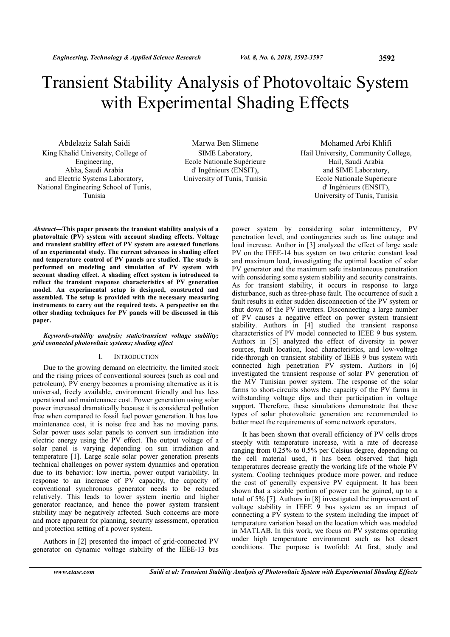# Transient Stability Analysis of Photovoltaic System with Experimental Shading Effects

Abdelaziz Salah Saidi King Khalid University, College of Engineering, Abha, Saudi Arabia and Electric Systems Laboratory, National Engineering School of Tunis, Tunisia

Marwa Ben Slimene SIME Laboratory, Ecole Nationale Supérieure d' Ingénieurs (ENSIT), University of Tunis, Tunisia

Mohamed Arbi Khlifi Hail University, Community College, Hail, Saudi Arabia and SIME Laboratory, Ecole Nationale Supérieure d' Ingénieurs (ENSIT), University of Tunis, Tunisia

Abstract—This paper presents the transient stability analysis of a photovoltaic (PV) system with account shading effects. Voltage and transient stability effect of PV system are assessed functions of an experimental study. The current advances in shading effect and temperature control of PV panels are studied. The study is performed on modeling and simulation of PV system with account shading effect. A shading effect system is introduced to reflect the transient response characteristics of PV generation model. An experimental setup is designed, constructed and assembled. The setup is provided with the necessary measuring instruments to carry out the required tests. A perspective on the other shading techniques for PV panels will be discussed in this paper.

# Keywords-stability analysis; static/transient voltage stability; grid connected photovoltaic systems; shading effect

## I. INTRODUCTION

Due to the growing demand on electricity, the limited stock and the rising prices of conventional sources (such as coal and petroleum), PV energy becomes a promising alternative as it is universal, freely available, environment friendly and has less operational and maintenance cost. Power generation using solar power increased dramatically because it is considered pollution free when compared to fossil fuel power generation. It has low maintenance cost, it is noise free and has no moving parts. Solar power uses solar panels to convert sun irradiation into electric energy using the PV effect. The output voltage of a solar panel is varying depending on sun irradiation and temperature [1]. Large scale solar power generation presents technical challenges on power system dynamics and operation due to its behavior: low inertia, power output variability. In response to an increase of PV capacity, the capacity of conventional synchronous generator needs to be reduced relatively. This leads to lower system inertia and higher generator reactance, and hence the power system transient stability may be negatively affected. Such concerns are more and more apparent for planning, security assessment, operation and protection setting of a power system.

Authors in [2] presented the impact of grid-connected PV generator on dynamic voltage stability of the IEEE-13 bus power system by considering solar intermittency, PV penetration level, and contingencies such as line outage and load increase. Author in [3] analyzed the effect of large scale PV on the IEEE-14 bus system on two criteria: constant load and maximum load, investigating the optimal location of solar PV generator and the maximum safe instantaneous penetration with considering some system stability and security constraints. As for transient stability, it occurs in response to large disturbance, such as three-phase fault. The occurrence of such a fault results in either sudden disconnection of the PV system or shut down of the PV inverters. Disconnecting a large number of PV causes a negative effect on power system transient stability. Authors in [4] studied the transient response characteristics of PV model connected to IEEE 9 bus system. Authors in [5] analyzed the effect of diversity in power sources, fault location, load characteristics, and low-voltage ride-through on transient stability of IEEE 9 bus system with connected high penetration PV system. Authors in [6] investigated the transient response of solar PV generation of the MV Tunisian power system. The response of the solar farms to short-circuits shows the capacity of the PV farms in withstanding voltage dips and their participation in voltage support. Therefore, these simulations demonstrate that these types of solar photovoltaic generation are recommended to better meet the requirements of some network operators.

It has been shown that overall efficiency of PV cells drops steeply with temperature increase, with a rate of decrease ranging from 0.25% to 0.5% per Celsius degree, depending on the cell material used, it has been observed that high temperatures decrease greatly the working life of the whole PV system. Cooling techniques produce more power, and reduce the cost of generally expensive PV equipment. It has been shown that a sizable portion of power can be gained, up to a total of 5% [7]. Authors in [8] investigated the improvement of voltage stability in IEEE 9 bus system as an impact of connecting a PV system to the system including the impact of temperature variation based on the location which was modeled in MATLAB. In this work, we focus on PV systems operating under high temperature environment such as hot desert conditions. The purpose is twofold: At first, study and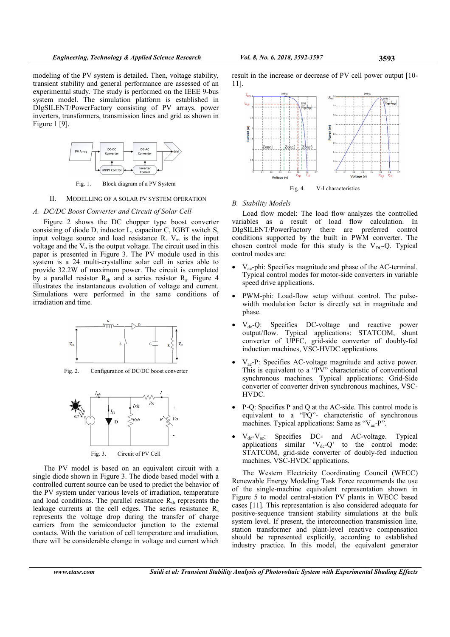modeling of the PV system is detailed. Then, voltage stability, transient stability and general performance are assessed of an experimental study. The study is performed on the IEEE 9-bus system model. The simulation platform is established in DIgSILENT/PowerFactory consisting of PV arrays, power inverters, transformers, transmission lines and grid as shown in Figure 1 [9].



Fig. 1. Block diagram of a PV System

## II. MODELLING OF A SOLAR PV SYSTEM OPERATION

#### A. DC/DC Boost Converter and Circuit of Solar Cell

Figure 2 shows the DC chopper type boost converter consisting of diode D, inductor L, capacitor C, IGBT switch S, input voltage source and load resistance R.  $V_{in}$  is the input voltage and the  $V<sub>o</sub>$  is the output voltage. The circuit used in this paper is presented in Figure 3. The PV module used in this system is a 24 multi-crystalline solar cell in series able to provide 32.2W of maximum power. The circuit is completed by a parallel resistor  $R_{sh}$  and a series resistor  $R_s$ . Figure 4 illustrates the instantaneous evolution of voltage and current. Simulations were performed in the same conditions of irradiation and time.



Fig. 2. Configuration of DC/DC boost converter



Fig. 3. Circuit of PV Cell

The PV model is based on an equivalent circuit with a single diode shown in Figure 3. The diode based model with a controlled current source can be used to predict the behavior of the PV system under various levels of irradiation, temperature and load conditions. The parallel resistance  $R_{sh}$  represents the leakage currents at the cell edges. The series resistance  $R_s$ represents the voltage drop during the transfer of charge carriers from the semiconductor junction to the external contacts. With the variation of cell temperature and irradiation, there will be considerable change in voltage and current which result in the increase or decrease of PV cell power output [10- 11].



#### B. Stability Models

Load flow model: The load flow analyzes the controlled variables as a result of load flow calculation. In DIgSILENT/PowerFactory there are preferred control conditions supported by the built in PWM converter. The chosen control mode for this study is the  $V_{DC}$ -Q. Typical control modes are:

- $V_{ac}$ -phi: Specifies magnitude and phase of the AC-terminal. Typical control modes for motor-side converters in variable speed drive applications.
- PWM-phi: Load-flow setup without control. The pulsewidth modulation factor is directly set in magnitude and phase.
- $V_{dc}$ -Q: Specifies DC-voltage and reactive power output/flow. Typical applications: STATCOM, shunt converter of UPFC, grid-side converter of doubly-fed induction machines, VSC-HVDC applications.
- $V_{ac}$ -P: Specifies AC-voltage magnitude and active power. This is equivalent to a "PV" characteristic of conventional synchronous machines. Typical applications: Grid-Side converter of converter driven synchronous machines, VSC-HVDC.
- P-Q: Specifies P and Q at the AC-side. This control mode is equivalent to a "PQ"- characteristic of synchronous machines. Typical applications: Same as "V<sub>ac</sub>-P".
- $V_{dc}$ - $V_{ac}$ : Specifies DC- and AC-voltage. Typical applications similar  $V_{dc} - Q'$  to the control mode: STATCOM, grid-side converter of doubly-fed induction machines, VSC-HVDC applications.

The Western Electricity Coordinating Council (WECC) Renewable Energy Modeling Task Force recommends the use of the single-machine equivalent representation shown in Figure 5 to model central-station PV plants in WECC based cases [11]. This representation is also considered adequate for positive-sequence transient stability simulations at the bulk system level. If present, the interconnection transmission line, station transformer and plant-level reactive compensation should be represented explicitly, according to established industry practice. In this model, the equivalent generator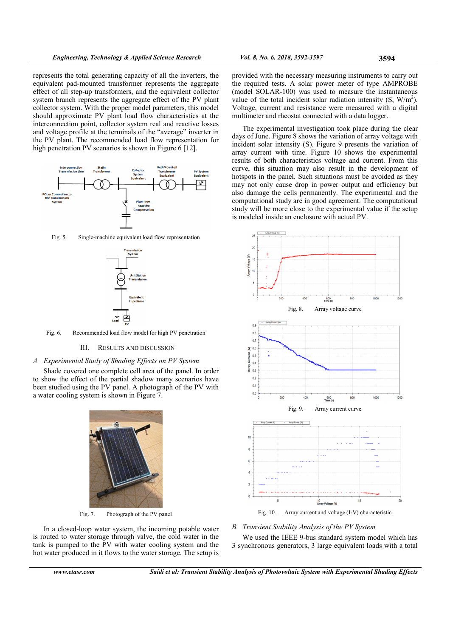represents the total generating capacity of all the inverters, the equivalent pad-mounted transformer represents the aggregate effect of all step-up transformers, and the equivalent collector system branch represents the aggregate effect of the PV plant collector system. With the proper model parameters, this model should approximate PV plant load flow characteristics at the interconnection point, collector system real and reactive losses and voltage profile at the terminals of the "average" inverter in the PV plant. The recommended load flow representation for high penetration PV scenarios is shown in Figure 6 [12].



Fig. 5. Single-machine equivalent load flow representation



Fig. 6. Recommended load flow model for high PV penetration

## III. RESULTS AND DISCUSSION

# A. Experimental Study of Shading Effects on PV System

Shade covered one complete cell area of the panel. In order to show the effect of the partial shadow many scenarios have been studied using the PV panel. A photograph of the PV with a water cooling system is shown in Figure 7.



Fig. 7. Photograph of the PV panel

In a closed-loop water system, the incoming potable water is routed to water storage through valve, the cold water in the tank is pumped to the PV with water cooling system and the hot water produced in it flows to the water storage. The setup is

provided with the necessary measuring instruments to carry out the required tests. A solar power meter of type AMPROBE (model SOLAR-100) was used to measure the instantaneous value of the total incident solar radiation intensity  $(S, W/m<sup>2</sup>)$ . Voltage, current and resistance were measured with a digital multimeter and rheostat connected with a data logger.

The experimental investigation took place during the clear days of June. Figure 8 shows the variation of array voltage with incident solar intensity (S). Figure 9 presents the variation of array current with time. Figure 10 shows the experimental results of both characteristics voltage and current. From this curve, this situation may also result in the development of hotspots in the panel. Such situations must be avoided as they may not only cause drop in power output and efficiency but also damage the cells permanently. The experimental and the computational study are in good agreement. The computational study will be more close to the experimental value if the setup is modeled inside an enclosure with actual PV.



B. Transient Stability Analysis of the PV System

We used the IEEE 9-bus standard system model which has 3 synchronous generators, 3 large equivalent loads with a total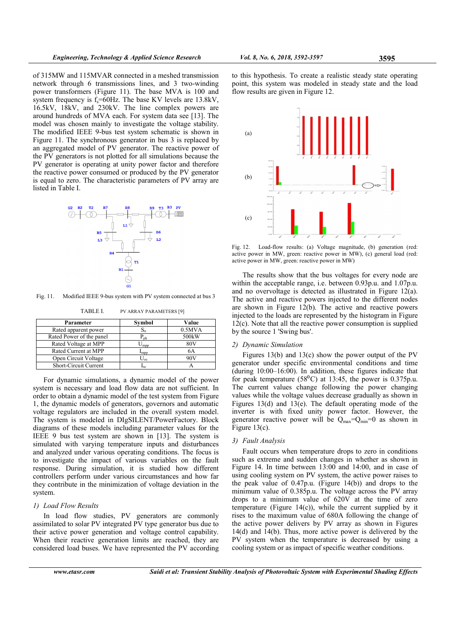of 315MW and 115MVAR connected in a meshed transmission network through 6 transmissions lines, and 3 two-winding power transformers (Figure 11). The base MVA is 100 and system frequency is  $f_s = 60$ Hz. The base KV levels are 13.8kV, 16.5kV, 18kV, and 230kV. The line complex powers are around hundreds of MVA each. For system data see [13]. The model was chosen mainly to investigate the voltage stability. The modified IEEE 9-bus test system schematic is shown in Figure 11. The synchronous generator in bus 3 is replaced by an aggregated model of PV generator. The reactive power of the PV generators is not plotted for all simulations because the PV generator is operating at unity power factor and therefore the reactive power consumed or produced by the PV generator is equal to zero. The characteristic parameters of PV array are listed in Table I.



Fig. 11. Modified IEEE 9-bus system with PV system connected at bus 3

TABLE I. PV ARRAY PARAMETERS [9]

| Parameter                    | Symbol                    | Value              |
|------------------------------|---------------------------|--------------------|
| Rated apparent power         | $S_n$                     | 0.5MVA             |
| Rated Power of the panel     | $P_{\text{pk}}$           | 500 <sub>k</sub> W |
| Rated Voltage at MPP         | $\mathsf{U}_{\text{mpp}}$ | 80V                |
| Rated Current at MPP         | $I_{\rm mpp}$             | 6А                 |
| Open Circuit Voltage         | $U_{oc}$                  | 20V                |
| <b>Short-Circuit Current</b> | $I_{sc}$                  |                    |

For dynamic simulations, a dynamic model of the power system is necessary and load flow data are not sufficient. In order to obtain a dynamic model of the test system from Figure 1, the dynamic models of generators, governors and automatic voltage regulators are included in the overall system model. The system is modeled in DIgSILENT/PowerFactory. Block diagrams of these models including parameter values for the IEEE 9 bus test system are shown in [13]. The system is simulated with varying temperature inputs and disturbances and analyzed under various operating conditions. The focus is to investigate the impact of various variables on the fault response. During simulation, it is studied how different controllers perform under various circumstances and how far they contribute in the minimization of voltage deviation in the system.

## 1) Load Flow Results

In load flow studies, PV generators are commonly assimilated to solar PV integrated PV type generator bus due to their active power generation and voltage control capability. When their reactive generation limits are reached, they are considered load buses. We have represented the PV according

to this hypothesis. To create a realistic steady state operating point, this system was modeled in steady state and the load flow results are given in Figure 12.



Fig. 12. Load-flow results: (a) Voltage magnitude, (b) generation (red: active power in MW, green: reactive power in MW), (c) general load (red: active power in MW, green: reactive power in MW)

The results show that the bus voltages for every node are within the acceptable range, i.e. between 0.93p.u. and 1.07p.u. and no overvoltage is detected as illustrated in Figure 12(a). The active and reactive powers injected to the different nodes are shown in Figure 12(b). The active and reactive powers injected to the loads are represented by the histogram in Figure 12(c). Note that all the reactive power consumption is supplied by the source 1 'Swing bus'.

## 2) Dynamic Simulation

Figures 13(b) and 13(c) show the power output of the PV generator under specific environmental conditions and time (during 10:00–16:00). In addition, these figures indicate that for peak temperature  $(58^{\circ}$ C) at 13:45, the power is 0.375p.u. The current values change following the power changing values while the voltage values decrease gradually as shown in Figures 13(d) and 13(e). The default operating mode of the inverter is with fixed unity power factor. However, the generator reactive power will be  $Q_{\text{max}}=Q_{\text{min}}=0$  as shown in Figure 13(c).

## 3) Fault Analysis

Fault occurs when temperature drops to zero in conditions such as extreme and sudden changes in whether as shown in Figure 14. In time between 13:00 and 14:00, and in case of using cooling system on PV system, the active power raises to the peak value of 0.47p.u. (Figure 14(b)) and drops to the minimum value of 0.385p.u. The voltage across the PV array drops to a minimum value of 620V at the time of zero temperature (Figure 14(c)), while the current supplied by it rises to the maximum value of 680A following the change of the active power delivers by PV array as shown in Figures 14(d) and 14(b). Thus, more active power is delivered by the PV system when the temperature is decreased by using a cooling system or as impact of specific weather conditions.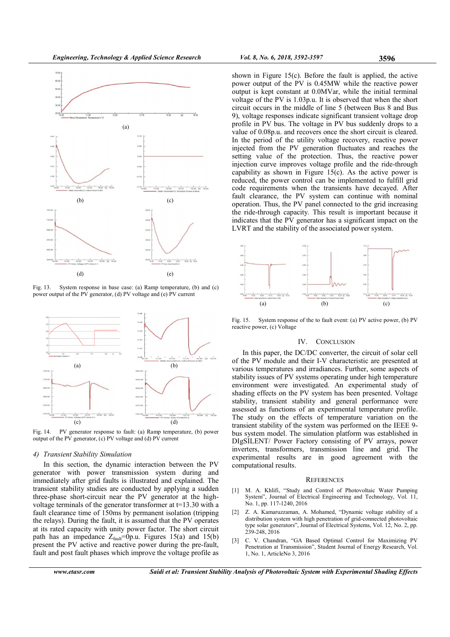

Fig. 13. System response in base case: (a) Ramp temperature, (b) and (c) power output of the PV generator, (d) PV voltage and (e) PV current



Fig. 14. PV generator response to fault: (a) Ramp temperature, (b) power output of the PV generator, (c) PV voltage and (d) PV current

#### 4) Transient Stability Simulation

In this section, the dynamic interaction between the PV generator with power transmission system during and immediately after grid faults is illustrated and explained. The transient stability studies are conducted by applying a sudden three-phase short-circuit near the PV generator at the highvoltage terminals of the generator transformer at t=13.30 with a fault clearance time of 150ms by permanent isolation (tripping the relays). During the fault, it is assumed that the PV operates at its rated capacity with unity power factor. The short circuit path has an impedance  $Z_{\text{fault}}$ =0p.u. Figures 15(a) and 15(b) present the PV active and reactive power during the pre-fault, fault and post fault phases which improve the voltage profile as shown in Figure 15(c). Before the fault is applied, the active power output of the PV is 0.45MW while the reactive power output is kept constant at 0.0MVar, while the initial terminal voltage of the PV is 1.03p.u. It is observed that when the short circuit occurs in the middle of line 5 (between Bus 8 and Bus 9), voltage responses indicate significant transient voltage drop profile in PV bus. The voltage in PV bus suddenly drops to a value of 0.08p.u. and recovers once the short circuit is cleared. In the period of the utility voltage recovery, reactive power injected from the PV generation fluctuates and reaches the setting value of the protection. Thus, the reactive power injection curve improves voltage profile and the ride-through capability as shown in Figure 15(c). As the active power is reduced, the power control can be implemented to fulfill grid code requirements when the transients have decayed. After fault clearance, the PV system can continue with nominal operation. Thus, the PV panel connected to the grid increasing the ride-through capacity. This result is important because it indicates that the PV generator has a significant impact on the LVRT and the stability of the associated power system.



Fig. 15. System response of the to fault event: (a) PV active power, (b) PV reactive power, (c) Voltage

## IV. CONCLUSION

In this paper, the DC/DC converter, the circuit of solar cell of the PV module and their I-V characteristic are presented at various temperatures and irradiances. Further, some aspects of stability issues of PV systems operating under high temperature environment were investigated. An experimental study of shading effects on the PV system has been presented. Voltage stability, transient stability and general performance were assessed as functions of an experimental temperature profile. The study on the effects of temperature variation on the transient stability of the system was performed on the IEEE 9 bus system model. The simulation platform was established in DIgSILENT/ Power Factory consisting of PV arrays, power inverters, transformers, transmission line and grid. The experimental results are in good agreement with the computational results.

#### **REFERENCES**

- [1] M. A. Khlifi, "Study and Control of Photovoltaic Water Pumping System", Journal of Electrical Engineering and Technology, Vol. 11, No. 1, pp. 117-1240, 2016
- [2] Z. A. Kamaruzzaman, A. Mohamed, "Dynamic voltage stability of a distribution system with high penetration of grid-connected photovoltaic type solar generators", Journal of Electrical Systems, Vol. 12, No. 2, pp. 239-248, 2016
- [3] C. V. Chandran, "GA Based Optimal Control for Maximizing PV Penetration at Transmission", Student Journal of Energy Research, Vol. 1, No. 1, ArticleNo 3, 2016